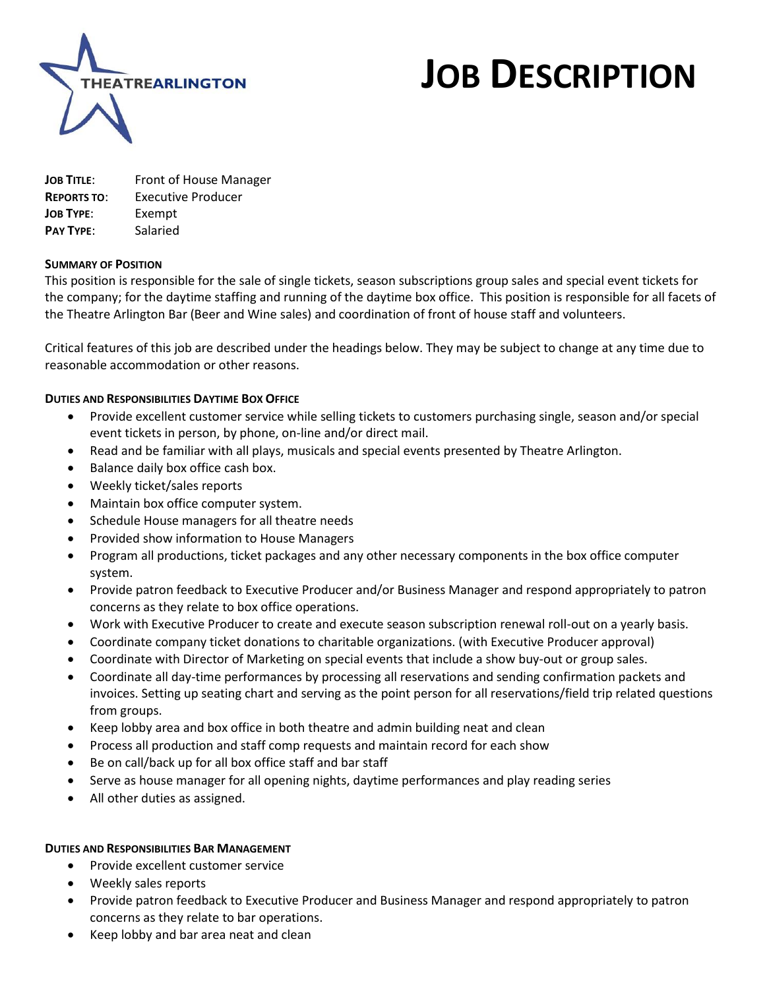

# **JOB DESCRIPTION**

**JOB TITLE**: Front of House Manager **REPORTS TO**: Executive Producer **JOB TYPE**: Exempt **PAY TYPE**: Salaried

### **SUMMARY OF POSITION**

This position is responsible for the sale of single tickets, season subscriptions group sales and special event tickets for the company; for the daytime staffing and running of the daytime box office. This position is responsible for all facets of the Theatre Arlington Bar (Beer and Wine sales) and coordination of front of house staff and volunteers.

Critical features of this job are described under the headings below. They may be subject to change at any time due to reasonable accommodation or other reasons.

### **DUTIES AND RESPONSIBILITIES DAYTIME BOX OFFICE**

- Provide excellent customer service while selling tickets to customers purchasing single, season and/or special event tickets in person, by phone, on-line and/or direct mail.
- Read and be familiar with all plays, musicals and special events presented by Theatre Arlington.
- Balance daily box office cash box.
- Weekly ticket/sales reports
- Maintain box office computer system.
- Schedule House managers for all theatre needs
- Provided show information to House Managers
- Program all productions, ticket packages and any other necessary components in the box office computer system.
- Provide patron feedback to Executive Producer and/or Business Manager and respond appropriately to patron concerns as they relate to box office operations.
- Work with Executive Producer to create and execute season subscription renewal roll-out on a yearly basis.
- Coordinate company ticket donations to charitable organizations. (with Executive Producer approval)
- Coordinate with Director of Marketing on special events that include a show buy-out or group sales.
- Coordinate all day-time performances by processing all reservations and sending confirmation packets and invoices. Setting up seating chart and serving as the point person for all reservations/field trip related questions from groups.
- Keep lobby area and box office in both theatre and admin building neat and clean
- Process all production and staff comp requests and maintain record for each show
- Be on call/back up for all box office staff and bar staff
- Serve as house manager for all opening nights, daytime performances and play reading series
- All other duties as assigned.

#### **DUTIES AND RESPONSIBILITIES BAR MANAGEMENT**

- Provide excellent customer service
- Weekly sales reports
- Provide patron feedback to Executive Producer and Business Manager and respond appropriately to patron concerns as they relate to bar operations.
- Keep lobby and bar area neat and clean